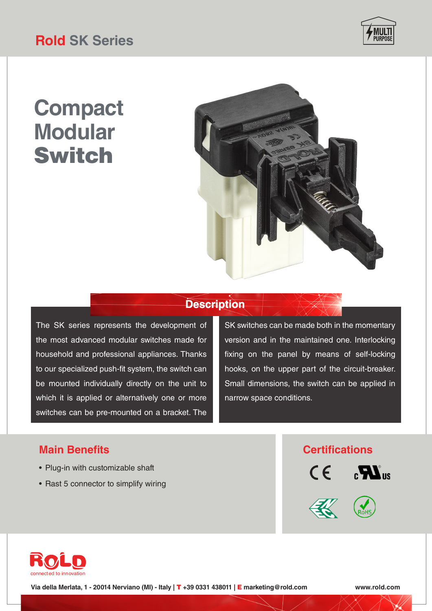## **Rold SK Series**



# **Compact Modular** Switch



### **Description**

The SK series represents the development of the most advanced modular switches made for household and professional appliances. Thanks to our specialized push-fit system, the switch can be mounted individually directly on the unit to which it is applied or alternatively one or more switches can be pre-mounted on a bracket. The

SK switches can be made both in the momentary version and in the maintained one. Interlocking fixing on the panel by means of self-locking hooks, on the upper part of the circuit-breaker. Small dimensions, the switch can be applied in narrow space conditions.

- Plug-in with customizable shaft
- Rast 5 connector to simplify wiring

### **Main Benefits Certifications**